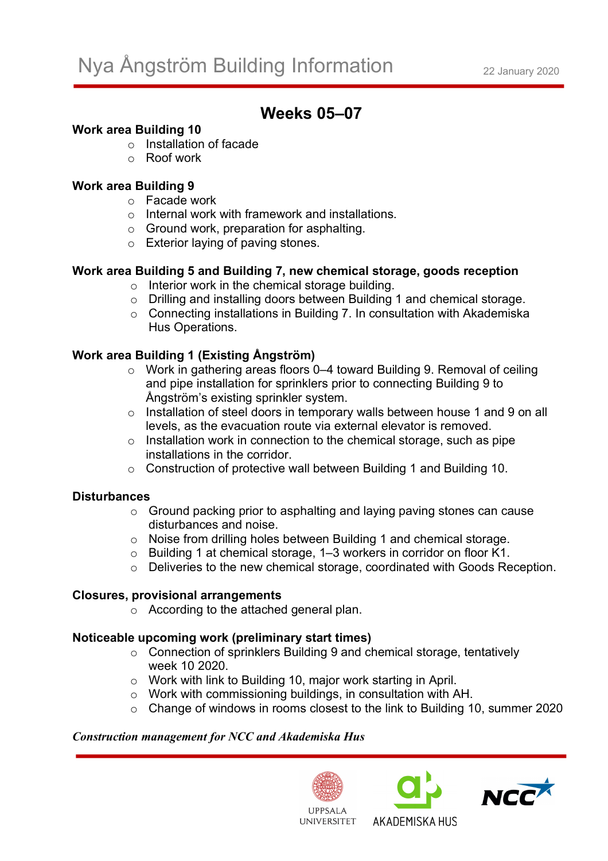# **Weeks 05–07**

# **Work area Building 10**

- o Installation of facade
- o Roof work

# **Work area Building 9**

- o Facade work
- o Internal work with framework and installations.
- o Ground work, preparation for asphalting.
- o Exterior laying of paving stones.

# **Work area Building 5 and Building 7, new chemical storage, goods reception**

- o Interior work in the chemical storage building.
- o Drilling and installing doors between Building 1 and chemical storage.
- o Connecting installations in Building 7. In consultation with Akademiska Hus Operations.

# **Work area Building 1 (Existing Ångström)**

- o Work in gathering areas floors 0–4 toward Building 9. Removal of ceiling and pipe installation for sprinklers prior to connecting Building 9 to Ångström's existing sprinkler system.
- o Installation of steel doors in temporary walls between house 1 and 9 on all levels, as the evacuation route via external elevator is removed.
- o Installation work in connection to the chemical storage, such as pipe installations in the corridor.
- o Construction of protective wall between Building 1 and Building 10.

## **Disturbances**

- o Ground packing prior to asphalting and laying paving stones can cause disturbances and noise.
- o Noise from drilling holes between Building 1 and chemical storage.
- o Building 1 at chemical storage, 1–3 workers in corridor on floor K1.
- o Deliveries to the new chemical storage, coordinated with Goods Reception.

## **Closures, provisional arrangements**

o According to the attached general plan.

## **Noticeable upcoming work (preliminary start times)**

- o Connection of sprinklers Building 9 and chemical storage, tentatively week 10 2020.
- o Work with link to Building 10, major work starting in April.
- o Work with commissioning buildings, in consultation with AH.
- o Change of windows in rooms closest to the link to Building 10, summer 2020

## *Construction management for NCC and Akademiska Hus*





AKADEMISKA HUS